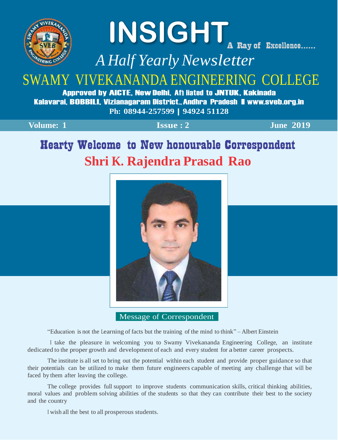

# **INSIGHT**<br>A Ray of Excellence......

*A Half YearlyNewsletter*

# SWAMY VIVEKANANDA ENGINEERING COLLEGE

Approved by AICTE, New Delhi, Aff liated to JNTUK, Kakinada Kalavarai, BOBBILI, Vizianagaram District.,Andhra Pradesh |[www.sveb.org.in](http://www.sveb.org.in/) **Ph: 08944-257599 | <sup>94924</sup> <sup>51128</sup>**

| <b>Volume:</b> 1 |  |
|------------------|--|
|                  |  |

**Volume: 1 Issue : 2 June 2019**

## Hearty Welcome to New honourable Correspondent **Shri K. Rajendra Prasad Rao**



Message of Correspondent

"Education is not the Learning of facts but the training of the mind to think" – Albert Einstein

I take the pleasure in welcoming you to Swamy Vivekananda Engineering College, an institute dedicated to the proper growth and development of each and every student for a better career prospects.

The institute is all set to bring out the potential within each student and provide proper guidance so that their potentials can be utilized to make them future engineers capable of meeting any challenge that will be faced by them after leaving the college.

The college provides full support to improve students communication skills, critical thinking abilities, moral values and problem solving abilities of the students so that they can contribute their best to the society and the country

<sup>I</sup> wish all the best to all prosperous students.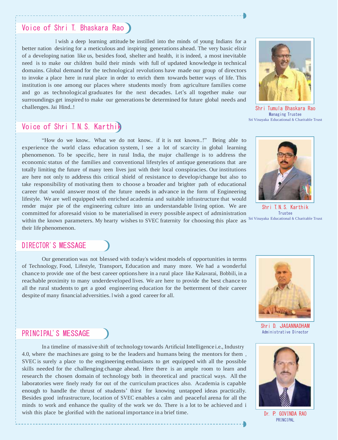#### Voice of Shri T. Bhaskara Rao

<sup>I</sup> wish a deep learning attitude be instilled into the minds of young Indians for a better nation desiring for a meticulous and inspiring generations ahead. The very basic elixir of a developing nation like us, besides food, shelter and health, it is indeed, a most inevitable need is to make our children build their minds with full of updated knowledge in technical domains. Global demand for the technological revolutions have made our group of directors to invoke a place here in rural place in order to enrich them towards better ways of life. This institution is one among our places where students mostly from agriculture families come and go as technological graduates for the next decades. Let's all together make our surroundings get inspired to make our generations be determined for future global needs and challenges.Jai Hind..!

Shri Tumula Bhaskara Rao Managing Trustee Sri Vinayaka Educational & Charitable Trust

## Voice of Shri T.N.S. Karthik

"How do we know.. What we do not know.. if it is not known..!" Being able to experience the world class education system, I see a lot of scarcity in global learning phenomenon. To be specific, here in rural India, the major challenge is to address the economic status of the families and conventional lifestyles of antique generations that are totally limiting the future of many teen lives just with their local conspiracies. Our institutions are here not only to address this critical shield of resistance to develop/change but also to take responsibility of motivating them to choose a broader and brighter path of educational career that would answer most of the future needs in advance in the form of Engineering lifestyle. We are well equipped with enriched academia and suitable infrastructure that would render major pie of the engineering culture into an understandable living option. We are committed for aforesaid vision to be materialised in every possible aspect of administration



Shri T.N.S. Karthik Trustee

within the known parameters. My hearty wishes to SVEC fraternity for choosing this place as <sup>Sri Vinayaka Educational & Charitable Trust</sup> their life phenomenon.

#### DIRECTOR'S MESSAGE

Our generation was not blessed with today's widest models of opportunities in terms of Technology, Food, Lifestyle, Transport, Education and many more. We had a wonderful chance to provide one of the best career options here in a rural place like Kalavarai, Bobbili, in a reachable proximity to many underdeveloped lives. We are here to provide the best chance to all the rural students to get a good engineering education for the betterment of their career despite of many financial adversities. I wish a good career for all.



Shri D. JAGANNADHAM Administrative Director

#### PRINCIPAL'S MESSAGE

In a timeline of massive shift of technology towards Artificial Intelligence i.e., Industry 4.0, where the machines are going to be the leaders and humans being the mentors for them , SVEC is surely a place to the engineering enthusiasts to get equipped with all the possible skills needed for the challenging change ahead. Here there is an ample room to learn and research the chosen domain of technology both in theoretical and practical ways. All the laboratories were finely ready for out of the curriculum practices also. Academia is capable enough to handle the thrust of students' thirst for knowing untapped ideas practically. Besides good infrastructure, location of SVEC enables a calm and peaceful arena for all the minds to work and enhance the quality of the work we do. There is a lot to be achieved and i wish this place be glorified with the national importance in a brief time. Dr. P. GOVINDA RAO



PRINCIPAL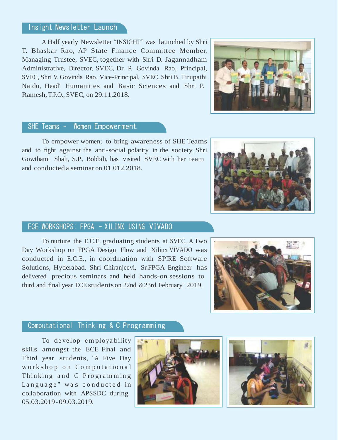#### Insight Newsletter Launch

A Half yearly Newsletter "INSIGHT" was launched by Shri T. Bhaskar Rao, AP State Finance Committee Member, Managing Trustee, SVEC, together with Shri D. Jagannadham Administrative, Director, SVEC, Dr. P. Govinda Rao, Principal, SVEC, Shri V. Govinda Rao, Vice-Principal, SVEC, Shri B. Tirupathi Naidu, Head' Humanities and Basic Sciences and Shri P. Ramesh,T.P.O., SVEC, on 29.11.2018.

#### SHE Teams – Women Empowerment

To empower women; to bring awareness of SHE Teams and to fight against the anti-social polarity in the society, Shri Gowthami Shali, S.P., Bobbili, has visited SVEC with her team and conducted a seminar on 01.012.2018.

#### ECE WORKSHOPS: FPGA - XILINX USING VIVADO

To nurture the E.C.E. graduating students at SVEC, A Two Day Workshop on FPGA Design Flow and Xilinx VIVADO was conducted in E.C.E., in coordination with SPIRE Software Solutions, Hyderabad. Shri Chiranjeevi, Sr.FPGA Engineer has delivered precious seminars and held hands-on sessions to third and final year ECE students on 22nd & 23rd February' 2019.

#### Computational Thinking & C Programming

To de ve lop e m ploya bility skills amongst the ECE Final and Third year students, "A Five Day workshop on Computational Thinking and C Programming Language" was conducted in collaboration with APSSDC during 05.03.2019 - 09.03.2019.









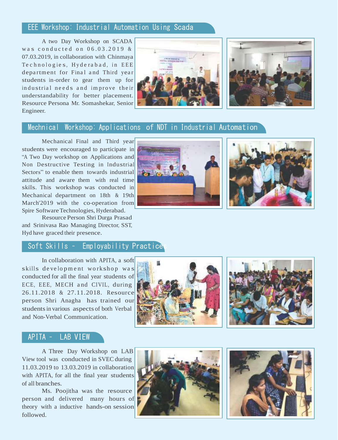#### EEE Workshop: Industrial Automation Using Scada

A two Day Workshop on SCADA was conducted on  $06.03.2019$  & 07.03.2019, in collaboration with Chinmaya Te chnologies, Hyderabad, in EEE department for Final and Third year students in-order to gear them up for industrial needs and improve their understandability for better placement. Resource Persona Mr. Somashekar, Senior Engineer.





#### Mechnical Workshop: Applications of NDT in Industrial Automation

Mechanical Final and Third year students were encouraged to participate in "A Two Day workshop on Applications and Non Destructive Testing in Industrial Sectors" to enable them towards industrial attitude and aware them with real time skills. This workshop was conducted in Mechanical department on 18th & 19th March'2019 with the co-operation from Spire Software Technologies, Hyderabad.

Resource Person Shri Durga Prasad and Srinivasa Rao Managing Director, SST, Hyd have graced their presence.

#### Soft Skills - Employability Practice

In collaboration with APITA, a soft skills development workshop was conducted for all the final year students of ECE, EEE, MECH and CIVIL, during 26.11.2018 & 27.11.2018. Resource person Shri Anagha has trained our studentsin various aspects of both Verbal and Non-Verbal Communication.





#### APITA – LAB VIEW

A Three Day Workshop on LAB View tool was conducted in SVEC during 11.03.2019 to 13.03.2019 in collaboration with APITA, for all the final year students of all branches.

Ms. Poojitha was the resource person and delivered many hours of theory with a inductive hands-on session followed.







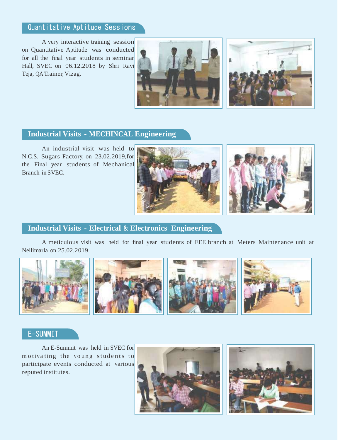## Quantitative Aptitude Sessions

A very interactive training session on Quantitative Aptitude was conducted for all the final year students in seminar Hall, SVEC on 06.12.2018 by Shri Ravi Teja, QA Trainer, Vizag.





#### **Industrial Visits - MECHINCAL Engineering**

An industrial visit was held to N.C.S. Sugars Factory, on 23.02.2019,for the Final year students of Mechanical Branch in SVEC.





#### **Industrial Visits - Electrical & Electronics Engineering**

A meticulous visit was held for final year students of EEE branch at Meters Maintenance unit at Nellimarla on 25.02.2019.



#### E-SUMMIT

An E-Summit was held in SVEC for motivating the young students to participate events conducted at various reputed institutes.



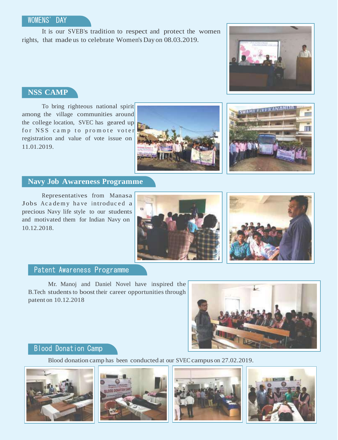#### WOMENS' DAY

It is our SVEB's tradition to respect and protect the women rights, that made us to celebrate Women's Day on 08.03.2019.



#### **NSS CAMP**

To bring righteous national spirit among the village communities around the college location, SVEC has geared up for NSS camp to promote voter registration and value of vote issue on 11.01.2019.





#### **Navy Job Awareness Programme**

Representatives from Manasa Jobs Academy have introduced a precious Navy life style to our students and motivated them for Indian Navy on 10.12.2018.





#### Patent Awareness Programme

Mr. Manoj and Daniel Novel have inspired the B.Tech students to boost their career opportunities through patent on 10.12.2018



#### Blood Donation Camp

Blood donation camp has been conducted at our SVEC campus on 27.02.2019.







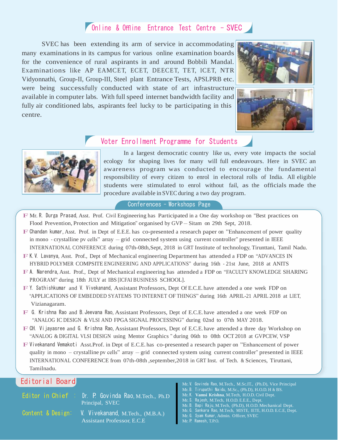### Online & Offline Entrance Test Centre - SVEC

SVEC has been extending its arm of service in accommodating many examinations in its campus for various online examination boards for the convenience of rural aspirants in and around Bobbili Mandal. Examinations like AP EAMCET, ECET, DEECET, TET, ICET, NTR Vidyonnathi, Group-II, Group-III, Steel plant Entrance Tests, APSLPRB etc. were being successfully conducted with state of art infrastructure available in computer labs. With full speed internet bandwidth facility and fully air conditioned labs, aspirants feel lucky to be participating in this centre.





#### Voter Enrollment Programme for Students



In a largest democratic country like us, every vote impacts the social ecology for shaping lives for many will full endeavours. Here in SVEC an awareness program was conducted to encourage the fundamental responsibility of every citizen to enrol in electoral rolls of India. All eligible students were stimulated to enrol without fail, as the officials made the procedure available in SVEC during a two day program.

#### Conferences - Workshops Page

- F Mr. R. Durga Prasad, Asst. Prof. Civil Engineering has Participated in <sup>a</sup> One day workshop on "Best practices on Flood Prevention, Protection and Mitigation" organised by GVP – Sitam on 29th Sept, 2018.
- F Chandan kumar, Asst. Prof. in Dept of E.E.E. has co-presented <sup>a</sup> research paper on "Enhancement of power quality in mono - crystalline pv cells" array – grid connected system using current controller" presented in IEEE INTERNATIONAL CONFERENCE during 07th-08th,Sept, 2018 in GRT Institute of technology, Tirunttani, Tamil Nadu.
- F K.V. Lavanya, Asst. Prof., Dept of Mechanical engineering Department has attended <sup>a</sup> FDP on "ADVANCES IN HYBRID POLYMER COMPSITE ENGINEERING AND APPLICATIONS" during 16th - 21st June, 2018 at ANITS
- F A. Narendra, Asst. Prof., Dept of Mechanical engineering has attended <sup>a</sup> FDP on "FACULTY KNOWLEDGE SHARING PROGRAM" during 18th JULY at IBS [ICFAI BUSINESS SCHOOL].
- F Y. Sathishkumar and V. Vivekanand, Assistant Professors, Dept Of E.C.E. have attended <sup>a</sup> one week FDP on "APPLICATIONS OF EMBEDDED SYATEMS TO INTERNET OF THINGS" during 16th APRIL-21 APRIL 2018 at LIET, Vizianagaram.
- F G. Krishna Rao and B.Jeevana Rao, Assistant Professors, Dept of E.C.E. have attended <sup>a</sup> one week FDP on "ANALOG IC DESIGN & VLSI AND FPGA SIGNAL PROCESSING" during 02nd to 07th MAY 2018.
- F CH. Vijayasree and G. Krishna Rao, Assistant Professors, Dept of E.C.E. have attended <sup>a</sup> three day Workshop on "ANALOG & DIGITAL VLSI DESIGN using Mentor Graphics " during 06th to 08th OCT2018 at GVPCEW, VSP
- F Vivekanand Vemakoti Asst.Prof. in Dept of E.C.E. has co-presented <sup>a</sup> research paper on "Enhancement of power quality in mono – crystalline pv cells" array – grid connected system using current controller" presented in IEEE INTERNATIONAL CONFERENCE from 07th-08th ,september,2018 in GRT Inst. of Tech. & Sciences, Tiruttani, Tamilnadu.

#### Editorial Board

Editor in Chief : Dr. P. Govinda Rao, M.Tech., Ph.D Principal, SVEC

- Content & Design: V. Vivekanand, M.Tech., (M.B.A.) Assistant Professor, E.C.E
- Mr. V. Govinda Rao, M.Tech., M.Sc.IT., (Ph.D), Vice Principal
- Mr. B. Tirupathi Naidu, M.Sc., (Ph.D), H.O.D. H & BS.
- Mr. K. **Vamsi Krishna**, M.Tech, H.O.D. Civil Dept.
- Mr. S. Rajesh, M.Tech, H.O.D. E.E.E., Dept.
- Mr. B. Bapi Raju, M.Tech, (Ph.D), H.O.D. Mechanical Dept.
- Mr. G. Sankara Rao, M.Tech, MISTE, IETE, H.O.D. E.C.E, Dept.
- Mr. G. Syam Kumar, Admin. Officer, SVEC
- Mr. P. Ramesh, T.P.O.